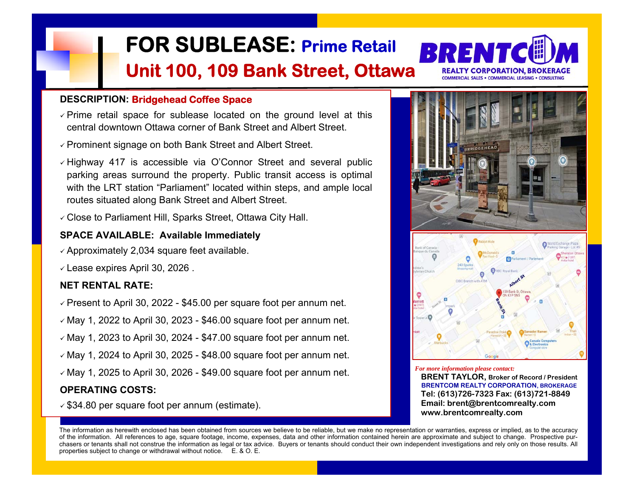

- $\checkmark$  Prime retail space for sublease located on the ground level at this central downtown Ottawa corner of Bank Street and Albert Street.
- Prominent signage on both Bank Street and Albert Street.
- $\checkmark$  Highway 417 is accessible via O'Connor Street and several public parking areas surround the property. Public transit access is optimal with the LRT station "Parliament" located within steps, and ample local routes situated along Bank Street and Albert Street. **FOR SUBLEASE: Prime Retail Unit 100, 109 Bank Street, Ottawa**<br>
PERCRIPTION: Bridgehead Coffee Space<br>
Central space for sublease located on the ground level at this<br>
Central downtown Ottawa comer of Bank Street and Albert
- Close to Parliament Hill, Sparks Street, Ottawa City Hall.

## **SPACE AVAILABLE: Available Immediately**

- $\checkmark$  Approximately 2,034 square feet available.
- $\checkmark$  Lease expires April 30, 2026.

# **NET RENTAL RATE:**

- $\checkmark$  Present to April 30, 2022 \$45.00 per square foot per annum net.
- $\checkmark$  May 1, 2022 to April 30, 2023 \$46.00 square foot per annum net.
- $\checkmark$  May 1, 2023 to April 30, 2024 \$47.00 square foot per annum net.
- $\checkmark$  May 1, 2024 to April 30, 2025 \$48.00 square foot per annum net.
- $\checkmark$  May 1, 2025 to April 30, 2026 \$49.00 square foot per annum net.

# **OPERATING COSTS:**



**REALTY CORPORATION, BROKERAGE** SALES . COMMERCIAL LEASING . CONSULTIN

*For more information please contact:*

 **BRENT TAYLOR, Broker of Record / President BRENTCOM REALTY CORPORATION, BROKERAGE Tel: (613)726-7323 Fax: (613)721-8849 Email: brent@brentcomrealty.com www.brentcomrealty.com**

The information as herewith enclosed has been obtained from sources we believe to be reliable, but we make no representation or warranties, express or implied, as to the accuracy of the information. All references to age, square footage, income, expenses, data and other information contained herein are approximate and subject to change. Prospective purchasers or tenants shall not construe the information as legal or tax advice. Buyers or tenants should conduct their own independent investigations and rely only on those results. All properties subject to change or withdrawal without notice. E. & O. E.